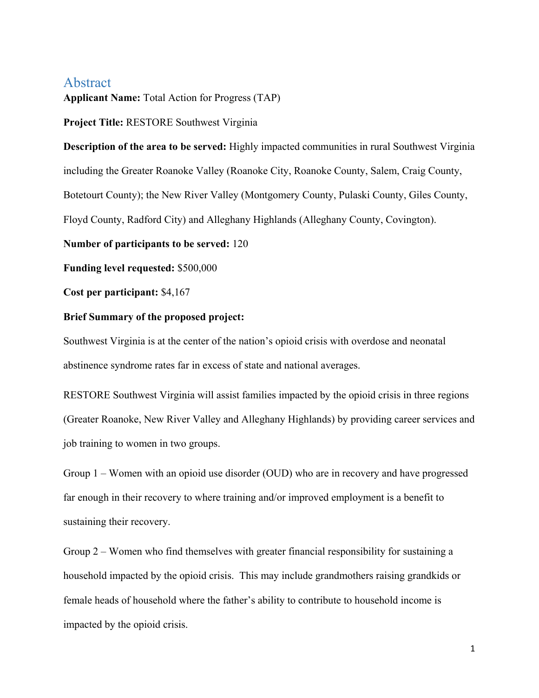## Abstract

**Applicant Name:** Total Action for Progress (TAP)

**Project Title:** RESTORE Southwest Virginia

**Description of the area to be served:** Highly impacted communities in rural Southwest Virginia including the Greater Roanoke Valley (Roanoke City, Roanoke County, Salem, Craig County, Botetourt County); the New River Valley (Montgomery County, Pulaski County, Giles County, Floyd County, Radford City) and Alleghany Highlands (Alleghany County, Covington).

**Number of participants to be served:** 120

**Funding level requested:** \$500,000

**Cost per participant:** \$4,167

## **Brief Summary of the proposed project:**

Southwest Virginia is at the center of the nation's opioid crisis with overdose and neonatal abstinence syndrome rates far in excess of state and national averages.

RESTORE Southwest Virginia will assist families impacted by the opioid crisis in three regions (Greater Roanoke, New River Valley and Alleghany Highlands) by providing career services and job training to women in two groups.

Group 1 – Women with an opioid use disorder (OUD) who are in recovery and have progressed far enough in their recovery to where training and/or improved employment is a benefit to sustaining their recovery.

Group 2 – Women who find themselves with greater financial responsibility for sustaining a household impacted by the opioid crisis. This may include grandmothers raising grandkids or female heads of household where the father's ability to contribute to household income is impacted by the opioid crisis.